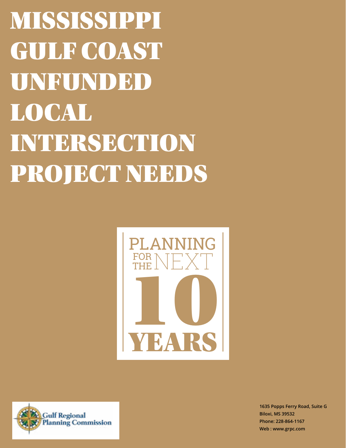MISSISSIPPI GULF COAST UNFUNDED LOCAL INTERSECTION PROJECT NEEDS





**1635 Popps Ferry Road, Suite G Biloxi, MS 39532 Phone: 228-864-1167 Web : www.grpc.com**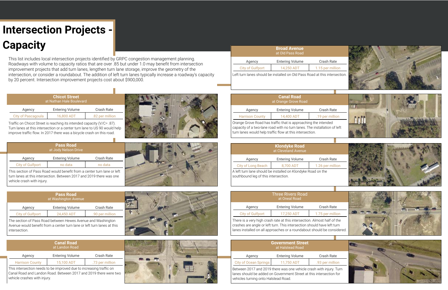## **Intersection Projects - Capacity**

Traffic on Chicot Street is reaching its intended capacity (V/C= .87). Turn lanes at this intersection or a center turn lane to US 90 would help improve traffic flow. In 2017 there was a bicycle crash on this road.

|                           | <b>Chicot Street</b><br>at Nathan Hale Boulevard |                 |
|---------------------------|--------------------------------------------------|-----------------|
| Agency                    | <b>Entering Volume</b>                           | Crash Rate      |
| <b>City of Pascagoula</b> | 16,800 ADT                                       | .82 per million |

This list includes local intersection projects identified by GRPC congestion management planning. Roadways with volume to capacity ratios that are over .85 but under 1.0 may benefit from intersection improvement projects that add turn lanes, lengthen turn lane storage, improve the geometry of the intersection, or consider a roundabout. The addition of left turn lanes typically increase a roadway's capacity by 20 percent. Intersection improvement projects cost about \$900,000.

This section of Pass Road would benefit from a center turn lane or left turn lanes at this intersection. Between 2017 and 2019 there was one vehicle crash with injury.

|                         | <b>Pass Road</b><br>at Jody Nelson Drive |            |
|-------------------------|------------------------------------------|------------|
| Agency                  | <b>Entering Volume</b>                   | Crash Rate |
| <b>City of Gulfport</b> | no data                                  | no data    |
| $\sim$ $\sim$           |                                          |            |

The section of Pass Road between Hewes Avenue and Washington Avenue would benefit from a center turn lane or left turn lanes at this intersection.

|                         | <b>Pass Road</b><br>at Washington Avenue |                 |
|-------------------------|------------------------------------------|-----------------|
| Agency                  | <b>Entering Volume</b>                   | Crash Rate      |
| <b>City of Gulfport</b> | 24.450 ADT                               | .90 per million |

|                                                                                                                                         | <b>Canal Road</b><br>at Landon Road |                 |
|-----------------------------------------------------------------------------------------------------------------------------------------|-------------------------------------|-----------------|
| Agency                                                                                                                                  | <b>Entering Volume</b>              | Crash Rate      |
| <b>Harrison County</b>                                                                                                                  | 15,100 ADT                          | .73 per million |
| This intersection needs to be improved due to increasing traffic on<br>Canal Dood and London Dood, Retween 2017 and 2010 there were two |                                     |                 |

Canal Road and Landon Road. Between 2017 and 2019 there were two vehicle crashes with injury.





| hicot Street<br>ıan Hale Boulevard |                             |  |
|------------------------------------|-----------------------------|--|
| tering Volume                      | <b>Crash Rate</b>           |  |
| 16,800 ADT                         | .82 per million             |  |
| .                                  | $\sim$ $\sim$ $\sim$ $\sim$ |  |



Orange Grove Road has traffic that is approaching the intended capacity of a two-lane road with no turn lanes. The installation of left turn lanes would help traffic flow at this intersection.

|                        | <b>Canal Road</b><br>at Orange Grove Road |                   |
|------------------------|-------------------------------------------|-------------------|
| Agency                 | <b>Entering Volume</b>                    | <b>Crash Rate</b> |
| <b>Harrison County</b> | 14,400 ADT                                | .19 per million   |

A left turn lane should be installed on Klondyke Road on the southbound leg of this intersection.

|                                                              | <b>Klondyke Road</b><br>at Cleveland Avenue |                   |
|--------------------------------------------------------------|---------------------------------------------|-------------------|
| Agency                                                       | <b>Entering Volume</b>                      | <b>Crash Rate</b> |
| <b>City of Long Beach</b>                                    | 8,700 ADT                                   | 1.26 per million  |
| A left turn lane should he installed on Klondyke Road on the |                                             |                   |

There is a very high crash rate at this intersection. Almost half of the crashes are angle or left turn. This intersection should have left turn lanes installed on all approaches or a roundabout should be considered.

| <b>Three Rivers Road</b><br>at Oneal Road |                        |                  |
|-------------------------------------------|------------------------|------------------|
| Agency                                    | <b>Entering Volume</b> | Crash Rate       |
| <b>City of Gulfport</b>                   | 17,250 ADT             | 1.75 per million |

Between 2017 and 2019 there was one vehicle crash with injury. Turn lanes should be added on Government Street at this intersection for vehicles turning onto Halstead Road.

| <b>Government Street</b><br>at Halstead Road |                        |                 |
|----------------------------------------------|------------------------|-----------------|
| Agency                                       | <b>Entering Volume</b> | Crash Rate      |
| <b>City of Ocean Springs</b>                 | 11.750 ADT             | .93 per million |

Left turn lanes should be installed on Old Pass Road at this intersection.

|                         | <b>Broad Avenue</b><br>at Old Pass Road |                   |
|-------------------------|-----------------------------------------|-------------------|
| Agency                  | <b>Entering Volume</b>                  | <b>Crash Rate</b> |
| <b>City of Gulfport</b> | 14,250 ADT                              | 1.15 per million  |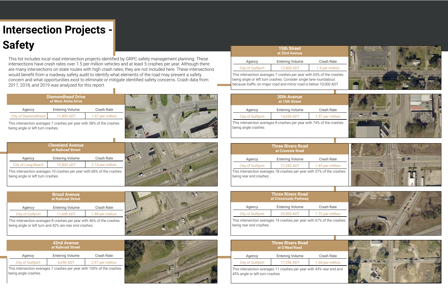# **Intersection Projects - Safety**

This intersection averages 7 crashes per year with 58% of the crashes being angle or left turn crashes.



|                            | <b>Diamondhead Drive</b><br>at West Aloha Drive |                  |
|----------------------------|-------------------------------------------------|------------------|
| Agency                     | <b>Entering Volume</b>                          | Crash Rate       |
| <b>City of Diamondhead</b> | 11,800 ADT                                      | 1.67 per million |

This list includes local road intersection projects identified by GRPC safety management planning. These intersections have crash rates over 1.5 per million vehicles and at least 5 crashes per year. Although there are many intersections on state routes with high crash rates, they are not included here. These intersections would benefit from a roadway safety audit to identify what elements of the road may present a safety concern and what opportunities exist to eliminate or mitigate identified safety concerns. Crash data from 2017, 2018, and 2019 was analyzed for this report.

|                                                                        |                           | <b>Cleveland Avenue</b><br>at Railroad Street |            |
|------------------------------------------------------------------------|---------------------------|-----------------------------------------------|------------|
|                                                                        | Agency                    | <b>Entering Volume</b>                        | Crash Rate |
|                                                                        | <b>City of Long Beach</b> | 2.14 per million                              |            |
| This intersection averages 10 crashes per year with 68% of the crashes |                           |                                               |            |

being angle or left turn crashes.

This intersection averages 8 crashes per year with 46% of the crashes being angle or left turn and 42% are rear end crashes.

| <b>Broad Avenue</b><br>at Railroad Street |                  |
|-------------------------------------------|------------------|
| <b>Entering Volume</b>                    | Crash Rate       |
| 11,600 ADT                                | 1.89 per million |
|                                           |                  |

|                         | <b>42nd Avenue</b><br>at Railroad Street                               |                  |  |
|-------------------------|------------------------------------------------------------------------|------------------|--|
| Agency                  | <b>Entering Volume</b>                                                 | Crash Rate       |  |
| <b>City of Gulfport</b> | 6,650 ADT                                                              | 2.97 per million |  |
| being angle crashes.    | This intersection averages 7 crashes per year with 100% of the crashes |                  |  |



|                                                                                                                                                                                                                 | <b>15th Street</b><br>at 33rd Avenue              |                   |  |
|-----------------------------------------------------------------------------------------------------------------------------------------------------------------------------------------------------------------|---------------------------------------------------|-------------------|--|
| Agency                                                                                                                                                                                                          | <b>Entering Volume</b>                            | Crash Rate        |  |
| <b>City of Gulfport</b>                                                                                                                                                                                         | 12,400 ADT                                        | 1.5 per million   |  |
| This intersection averages 7 crashes per year with 63% of the crashes<br>being angle or left turn crashes. Consider single lane roundabout<br>because traffic on major road and minor road is below 10,000 ADT. |                                                   |                   |  |
|                                                                                                                                                                                                                 | <b>30th Avenue</b><br>at 15th Street              |                   |  |
| Agency                                                                                                                                                                                                          | <b>Entering Volume</b>                            | Crash Rate        |  |
| <b>City of Gulfport</b>                                                                                                                                                                                         | 14,650 ADT                                        | 1.57 per million  |  |
| This intersection averages 8 crashes per year with 74% of the crashes<br>being angle crashes.                                                                                                                   |                                                   |                   |  |
|                                                                                                                                                                                                                 | <b>Three Rivers Road</b>                          |                   |  |
|                                                                                                                                                                                                                 | at Creosote Road                                  |                   |  |
| Agency                                                                                                                                                                                                          | <b>Entering Volume</b>                            | <b>Crash Rate</b> |  |
| <b>City of Gulfport</b>                                                                                                                                                                                         | 27,250 ADT                                        | 1.83 per million  |  |
| This intersection averages 18 crashes per year with 57% of the crashes<br>being rear end crashes.                                                                                                               |                                                   |                   |  |
|                                                                                                                                                                                                                 |                                                   |                   |  |
|                                                                                                                                                                                                                 | <b>Three Rivers Road</b><br>at Crossroads Parkway |                   |  |
| Agency                                                                                                                                                                                                          | <b>Entering Volume</b>                            | Crash Rate        |  |
| <b>City of Gulfport</b>                                                                                                                                                                                         | 29,500 ADT                                        | 1.73 per million  |  |
| This intersection averages 19 crashes per year with 67% of the crashes<br>being rear end crashes.                                                                                                               |                                                   |                   |  |
|                                                                                                                                                                                                                 | <b>Three Rivers Road</b>                          |                   |  |
|                                                                                                                                                                                                                 | at O'Neal Road                                    |                   |  |
| Agency                                                                                                                                                                                                          | <b>Entering Volume</b>                            | Crash Rate        |  |
| <b>City of Gulfport</b>                                                                                                                                                                                         | 17,250 ADT                                        | 1.68 per million  |  |
| This intersection averages 11 crashes per year with 43% rear end and<br>45% angle or left turn crashes.                                                                                                         |                                                   |                   |  |

|                                                                                                                                                                                                                 | <b>15th Street</b><br>at 33rd Avenue              |                   |  |
|-----------------------------------------------------------------------------------------------------------------------------------------------------------------------------------------------------------------|---------------------------------------------------|-------------------|--|
| Agency                                                                                                                                                                                                          | <b>Entering Volume</b>                            | <b>Crash Rate</b> |  |
| <b>City of Gulfport</b>                                                                                                                                                                                         | 12,400 ADT                                        | 1.5 per million   |  |
| This intersection averages 7 crashes per year with 63% of the crashes<br>being angle or left turn crashes. Consider single lane roundabout<br>because traffic on major road and minor road is below 10,000 ADT. |                                                   |                   |  |
|                                                                                                                                                                                                                 | <b>30th Avenue</b><br>at 15th Street              |                   |  |
| Agency                                                                                                                                                                                                          | <b>Entering Volume</b>                            | Crash Rate        |  |
| <b>City of Gulfport</b>                                                                                                                                                                                         | 14,650 ADT                                        | 1.57 per million  |  |
| This intersection averages 8 crashes per year with 74% of the crashes<br>being angle crashes.                                                                                                                   |                                                   |                   |  |
|                                                                                                                                                                                                                 |                                                   |                   |  |
|                                                                                                                                                                                                                 | <b>Three Rivers Road</b><br>at Creosote Road      |                   |  |
| Agency                                                                                                                                                                                                          | <b>Entering Volume</b>                            | <b>Crash Rate</b> |  |
| <b>City of Gulfport</b>                                                                                                                                                                                         | 27,250 ADT                                        | 1.83 per million  |  |
| This intersection averages 18 crashes per year with 57% of the crashes<br>being rear end crashes.                                                                                                               |                                                   |                   |  |
|                                                                                                                                                                                                                 |                                                   |                   |  |
|                                                                                                                                                                                                                 | <b>Three Rivers Road</b><br>at Crossroads Parkway |                   |  |
| Agency                                                                                                                                                                                                          | <b>Entering Volume</b>                            | <b>Crash Rate</b> |  |
| <b>City of Gulfport</b>                                                                                                                                                                                         | 29,500 ADT                                        | 1.73 per million  |  |
| This intersection averages 19 crashes per year with 67% of the crashes<br>being rear end crashes.                                                                                                               |                                                   |                   |  |
|                                                                                                                                                                                                                 | <b>Three Rivers Road</b>                          |                   |  |
|                                                                                                                                                                                                                 | at O'Neal Road                                    |                   |  |
| Agency                                                                                                                                                                                                          | <b>Entering Volume</b>                            | Crash Rate        |  |
| <b>City of Gulfport</b>                                                                                                                                                                                         | 17,250 ADT                                        | 1.68 per million  |  |
| This intersection averages 11 crashes per year with 43% rear end and<br>45% angle or left turn crashes.                                                                                                         |                                                   |                   |  |

|                                                                                                                                                                                                                 | <b>15th Street</b><br>at 33rd Avenue              |                   |  |
|-----------------------------------------------------------------------------------------------------------------------------------------------------------------------------------------------------------------|---------------------------------------------------|-------------------|--|
| Agency                                                                                                                                                                                                          | <b>Entering Volume</b>                            | Crash Rate        |  |
| <b>City of Gulfport</b>                                                                                                                                                                                         | 12,400 ADT                                        | 1.5 per million   |  |
| This intersection averages 7 crashes per year with 63% of the crashes<br>being angle or left turn crashes. Consider single lane roundabout<br>because traffic on major road and minor road is below 10,000 ADT. |                                                   |                   |  |
|                                                                                                                                                                                                                 | <b>30th Avenue</b><br>at 15th Street              |                   |  |
| Agency                                                                                                                                                                                                          | <b>Entering Volume</b>                            | Crash Rate        |  |
| <b>City of Gulfport</b>                                                                                                                                                                                         | 14,650 ADT                                        | 1.57 per million  |  |
| This intersection averages 8 crashes per year with 74% of the crashes<br>being angle crashes.                                                                                                                   |                                                   |                   |  |
|                                                                                                                                                                                                                 | <b>Three Rivers Road</b><br>at Creosote Road      |                   |  |
| Agency                                                                                                                                                                                                          | <b>Entering Volume</b>                            | <b>Crash Rate</b> |  |
| <b>City of Gulfport</b>                                                                                                                                                                                         | 27,250 ADT                                        | 1.83 per million  |  |
| This intersection averages 18 crashes per year with 57% of the crashes<br>being rear end crashes.                                                                                                               |                                                   |                   |  |
|                                                                                                                                                                                                                 |                                                   |                   |  |
|                                                                                                                                                                                                                 | <b>Three Rivers Road</b><br>at Crossroads Parkway |                   |  |
| Agency                                                                                                                                                                                                          | <b>Entering Volume</b>                            | Crash Rate        |  |
| <b>City of Gulfport</b>                                                                                                                                                                                         | 29,500 ADT                                        | 1.73 per million  |  |
| This intersection averages 19 crashes per year with 67% of the crashes<br>being rear end crashes.                                                                                                               |                                                   |                   |  |
|                                                                                                                                                                                                                 | <b>Three Rivers Road</b>                          |                   |  |
|                                                                                                                                                                                                                 | at O'Neal Road                                    |                   |  |
| Agency                                                                                                                                                                                                          | <b>Entering Volume</b>                            | Crash Rate        |  |
| <b>City of Gulfport</b>                                                                                                                                                                                         | 17,250 ADT                                        | 1.68 per million  |  |
| This intersection averages 11 crashes per year with 43% rear end and<br>45% angle or left turn crashes.                                                                                                         |                                                   |                   |  |

|                                                                                                                                                                                                                 | <b>15th Street</b><br>at 33rd Avenue                                   |                   |
|-----------------------------------------------------------------------------------------------------------------------------------------------------------------------------------------------------------------|------------------------------------------------------------------------|-------------------|
| Agency                                                                                                                                                                                                          | <b>Entering Volume</b>                                                 | Crash Rate        |
| <b>City of Gulfport</b>                                                                                                                                                                                         | 12,400 ADT                                                             | 1.5 per million   |
| This intersection averages 7 crashes per year with 63% of the crashes<br>being angle or left turn crashes. Consider single lane roundabout<br>because traffic on major road and minor road is below 10,000 ADT. |                                                                        |                   |
|                                                                                                                                                                                                                 | <b>30th Avenue</b><br>at 15th Street                                   |                   |
| Agency                                                                                                                                                                                                          | <b>Entering Volume</b>                                                 | <b>Crash Rate</b> |
| <b>City of Gulfport</b>                                                                                                                                                                                         | 14,650 ADT                                                             | 1.57 per million  |
| This intersection averages 8 crashes per year with 74% of the crashes<br>being angle crashes.                                                                                                                   |                                                                        |                   |
|                                                                                                                                                                                                                 | <b>Three Rivers Road</b><br>at Creosote Road                           |                   |
| Agency                                                                                                                                                                                                          | <b>Entering Volume</b>                                                 | <b>Crash Rate</b> |
| <b>City of Gulfport</b>                                                                                                                                                                                         | 27,250 ADT                                                             | 1.83 per million  |
| being rear end crashes.                                                                                                                                                                                         | This intersection averages 18 crashes per year with 57% of the crashes |                   |
|                                                                                                                                                                                                                 | <b>Three Rivers Road</b>                                               |                   |
|                                                                                                                                                                                                                 | at Crossroads Parkway                                                  |                   |
| Agency                                                                                                                                                                                                          | <b>Entering Volume</b>                                                 | Crash Rate        |
| <b>City of Gulfport</b>                                                                                                                                                                                         | 29,500 ADT                                                             | 1.73 per million  |
| This intersection averages 19 crashes per year with 67% of the crashes<br>being rear end crashes.                                                                                                               |                                                                        |                   |
|                                                                                                                                                                                                                 | <b>Three Rivers Road</b><br>at O'Neal Road                             |                   |
| Agency                                                                                                                                                                                                          | <b>Entering Volume</b>                                                 | Crash Rate        |
| <b>City of Gulfport</b>                                                                                                                                                                                         | 17,250 ADT                                                             | 1.68 per million  |
| This intersection averages 11 crashes per year with 43% rear end and<br>45% angle or left turn crashes.                                                                                                         |                                                                        |                   |

|                               | <b>15th Street</b><br>at 33rd Avenue                                                                                                                                                                     |                   |  |  |
|-------------------------------|----------------------------------------------------------------------------------------------------------------------------------------------------------------------------------------------------------|-------------------|--|--|
| Agency                        | <b>Entering Volume</b>                                                                                                                                                                                   | Crash Rate        |  |  |
| <b>City of Gulfport</b>       | 12,400 ADT                                                                                                                                                                                               | 1.5 per million   |  |  |
|                               | is intersection averages 7 crashes per year with 63% of the crashes<br>ng angle or left turn crashes. Consider single lane roundabout<br>cause traffic on major road and minor road is below 10,000 ADT. |                   |  |  |
|                               | <b>30th Avenue</b><br>at 15th Street                                                                                                                                                                     |                   |  |  |
| Agency                        | <b>Entering Volume</b>                                                                                                                                                                                   | <b>Crash Rate</b> |  |  |
| <b>City of Gulfport</b>       | 14,650 ADT                                                                                                                                                                                               | 1.57 per million  |  |  |
| ng angle crashes.             | is intersection averages 8 crashes per year with 74% of the crashes                                                                                                                                      |                   |  |  |
|                               | <b>Three Rivers Road</b><br>at Creosote Road                                                                                                                                                             |                   |  |  |
| Agency                        | <b>Entering Volume</b>                                                                                                                                                                                   | Crash Rate        |  |  |
| <b>City of Gulfport</b>       | 27,250 ADT                                                                                                                                                                                               | 1.83 per million  |  |  |
| ng rear end crashes.          | is intersection averages 18 crashes per year with 57% of the crashes                                                                                                                                     |                   |  |  |
|                               | <b>Three Rivers Road</b><br>at Crossroads Parkway                                                                                                                                                        |                   |  |  |
| Agency                        | <b>Entering Volume</b>                                                                                                                                                                                   | <b>Crash Rate</b> |  |  |
| <b>City of Gulfport</b>       | 29,500 ADT                                                                                                                                                                                               | 1.73 per million  |  |  |
| ng rear end crashes.          | is intersection averages 19 crashes per year with 67% of the crashes                                                                                                                                     |                   |  |  |
|                               | <b>Three Rivers Road</b><br>at O'Neal Road                                                                                                                                                               |                   |  |  |
| Agency                        | <b>Entering Volume</b>                                                                                                                                                                                   | <b>Crash Rate</b> |  |  |
| <b>City of Gulfport</b>       | 17,250 ADT                                                                                                                                                                                               | 1.68 per million  |  |  |
| % angle or left turn crashes. | is intersection averages 11 crashes per year with 43% rear end and                                                                                                                                       |                   |  |  |